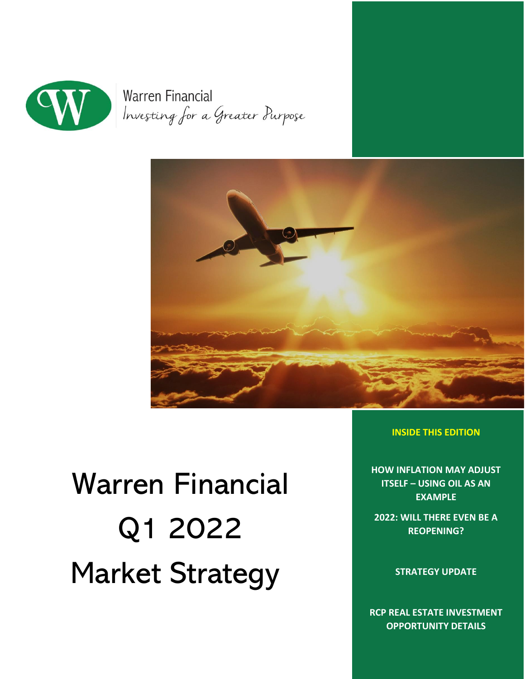

**Warren Financial** Investing for a Greater Purpose



# Warren Financial Q1 2022 Market Strategy

**INSIDE THIS EDITION**

**HOW INFLATION MAY ADJUST ITSELF – USING OIL AS AN EXAMPLE**

**2022: WILL THERE EVEN BE A REOPENING?**

**STRATEGY UPDATE**

**RCP REAL ESTATE INVESTMENT OPPORTUNITY DETAILS**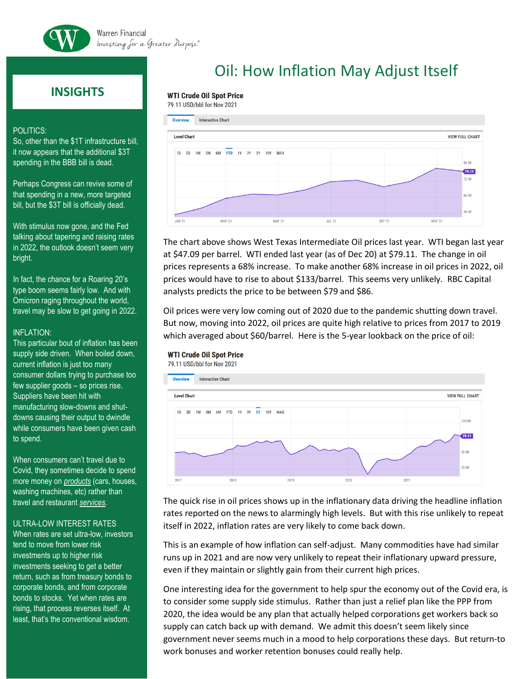

# **INSIGHTS**

#### POLITICS:

So, other than the \$1T infrastructure bill, it now appears that the additional \$3T spending in the BBB bill is dead.

Perhaps Congress can revive some of that spending in a new, more targeted bill, but the \$3T bill is officially dead.

With stimulus now gone, and the Fed talking about tapering and raising rates in 2022, the outlook doesn't seem very bright.

In fact, the chance for a Roaring 20's type boom seems fairly low. And with Omicron raging throughout the world, travel may be slow to get going in 2022.

### INFLATION:

This particular bout of inflation has been supply side driven. When boiled down, current inflation is just too many consumer dollars trying to purchase too few supplier goods – so prices rise. Suppliers have been hit with manufacturing slow-downs and shutdowns causing their output to dwindle while consumers have been given cash to spend.

When consumers can't travel due to Covid, they sometimes decide to spend more money on *products* (cars, houses, washing machines, etc) rather than travel and restaurant *services*.

### ULTRA-LOW INTEREST RATES

When rates are set ultra-low, investors tend to move from lower risk investments up to higher risk investments seeking to get a better return, such as from treasury bonds to corporate bonds, and from corporate bonds to stocks. Yet when rates are rising, that process reverses itself. At least, that's the conventional wisdom.

# Oil: How Inflation May Adjust Itself

## **WTI Crude Oil Spot Price**

79.11 USD/bbl for Nov 2021



The chart above shows West Texas Intermediate Oil prices last year. WTI began last year at \$47.09 per barrel. WTI ended last year (as of Dec 20) at \$79.11. The change in oil prices represents a 68% increase. To make another 68% increase in oil prices in 2022, oil prices would have to rise to about \$133/barrel. This seems very unlikely. RBC Capital analysts predicts the price to be between \$79 and \$86.

Oil prices were very low coming out of 2020 due to the pandemic shutting down travel. But now, moving into 2022, oil prices are quite high relative to prices from 2017 to 2019 which averaged about \$60/barrel. Here is the 5-year lookback on the price of oil:

### **WTI Crude Oil Spot Price**



The quick rise in oil prices shows up in the inflationary data driving the headline inflation rates reported on the news to alarmingly high levels. But with this rise unlikely to repeat itself in 2022, inflation rates are very likely to come back down.

This is an example of how inflation can self-adjust. Many commodities have had similar runs up in 2021 and are now very unlikely to repeat their inflationary upward pressure, even if they maintain or slightly gain from their current high prices.

One interesting idea for the government to help spur the economy out of the Covid era, is to consider some supply side stimulus. Rather than just a relief plan like the PPP from 2020, the idea would be any plan that actually helped corporations get workers back so supply can catch back up with demand. We admit this doesn't seem likely since government never seems much in a mood to help corporations these days. But return-to work bonuses and worker retention bonuses could really help.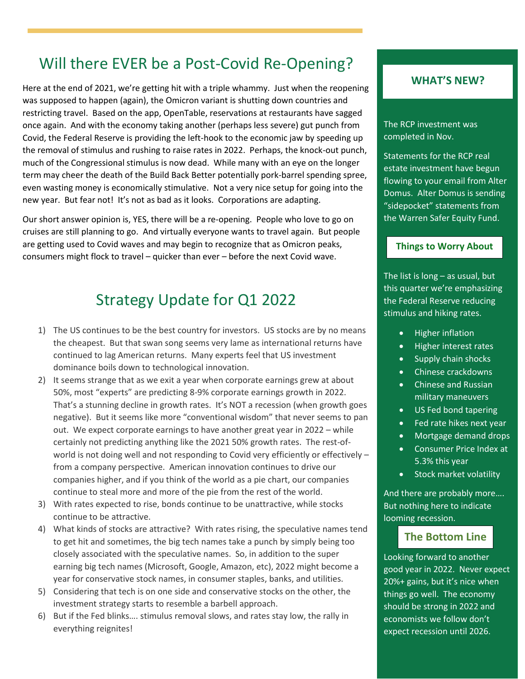# Will there EVER be a Post-Covid Re-Opening?

Here at the end of 2021, we're getting hit with a triple whammy. Just when the reopening was supposed to happen (again), the Omicron variant is shutting down countries and restricting travel. Based on the app, OpenTable, reservations at restaurants have sagged once again. And with the economy taking another (perhaps less severe) gut punch from Covid, the Federal Reserve is providing the left-hook to the economic jaw by speeding up the removal of stimulus and rushing to raise rates in 2022. Perhaps, the knock-out punch, much of the Congressional stimulus is now dead. While many with an eye on the longer term may cheer the death of the Build Back Better potentially pork-barrel spending spree, even wasting money is economically stimulative. Not a very nice setup for going into the new year. But fear not! It's not as bad as it looks. Corporations are adapting.

Our short answer opinion is, YES, there will be a re-opening. People who love to go on cruises are still planning to go. And virtually everyone wants to travel again. But people are getting used to Covid waves and may begin to recognize that as Omicron peaks, consumers might flock to travel – quicker than ever – before the next Covid wave.

# Strategy Update for Q1 2022

- 1) The US continues to be the best country for investors. US stocks are by no means the cheapest. But that swan song seems very lame as international returns have continued to lag American returns. Many experts feel that US investment dominance boils down to technological innovation.
- 2) It seems strange that as we exit a year when corporate earnings grew at about 50%, most "experts" are predicting 8-9% corporate earnings growth in 2022. That's a stunning decline in growth rates. It's NOT a recession (when growth goes negative). But it seems like more "conventional wisdom" that never seems to pan out. We expect corporate earnings to have another great year in 2022 – while certainly not predicting anything like the 2021 50% growth rates. The rest-ofworld is not doing well and not responding to Covid very efficiently or effectively – from a company perspective. American innovation continues to drive our companies higher, and if you think of the world as a pie chart, our companies continue to steal more and more of the pie from the rest of the world.
- 3) With rates expected to rise, bonds continue to be unattractive, while stocks continue to be attractive.
- 4) What kinds of stocks are attractive? With rates rising, the speculative names tend to get hit and sometimes, the big tech names take a punch by simply being too closely associated with the speculative names. So, in addition to the super earning big tech names (Microsoft, Google, Amazon, etc), 2022 might become a year for conservative stock names, in consumer staples, banks, and utilities.
- 5) Considering that tech is on one side and conservative stocks on the other, the investment strategy starts to resemble a barbell approach.
- 6) But if the Fed blinks…. stimulus removal slows, and rates stay low, the rally in everything reignites!

# **WHAT'S NEW?**

The RCP investment was completed in Nov.

Statements for the RCP real estate investment have begun flowing to your email from Alter Domus. Alter Domus is sending "sidepocket" statements from the Warren Safer Equity Fund.

## **Things to Worry About**

The list is long  $-$  as usual, but this quarter we're emphasizing the Federal Reserve reducing stimulus and hiking rates.

- Higher inflation
- Higher interest rates
- Supply chain shocks
- Chinese crackdowns
- Chinese and Russian military maneuvers
- US Fed bond tapering
- Fed rate hikes next year
- Mortgage demand drops
- Consumer Price Index at 5.3% this year
- Stock market volatility

And there are probably more…. But nothing here to indicate looming recession.

# **The Bottom Line**

Looking forward to another good year in 2022. Never expect 20%+ gains, but it's nice when things go well. The economy should be strong in 2022 and economists we follow don't expect recession until 2026.